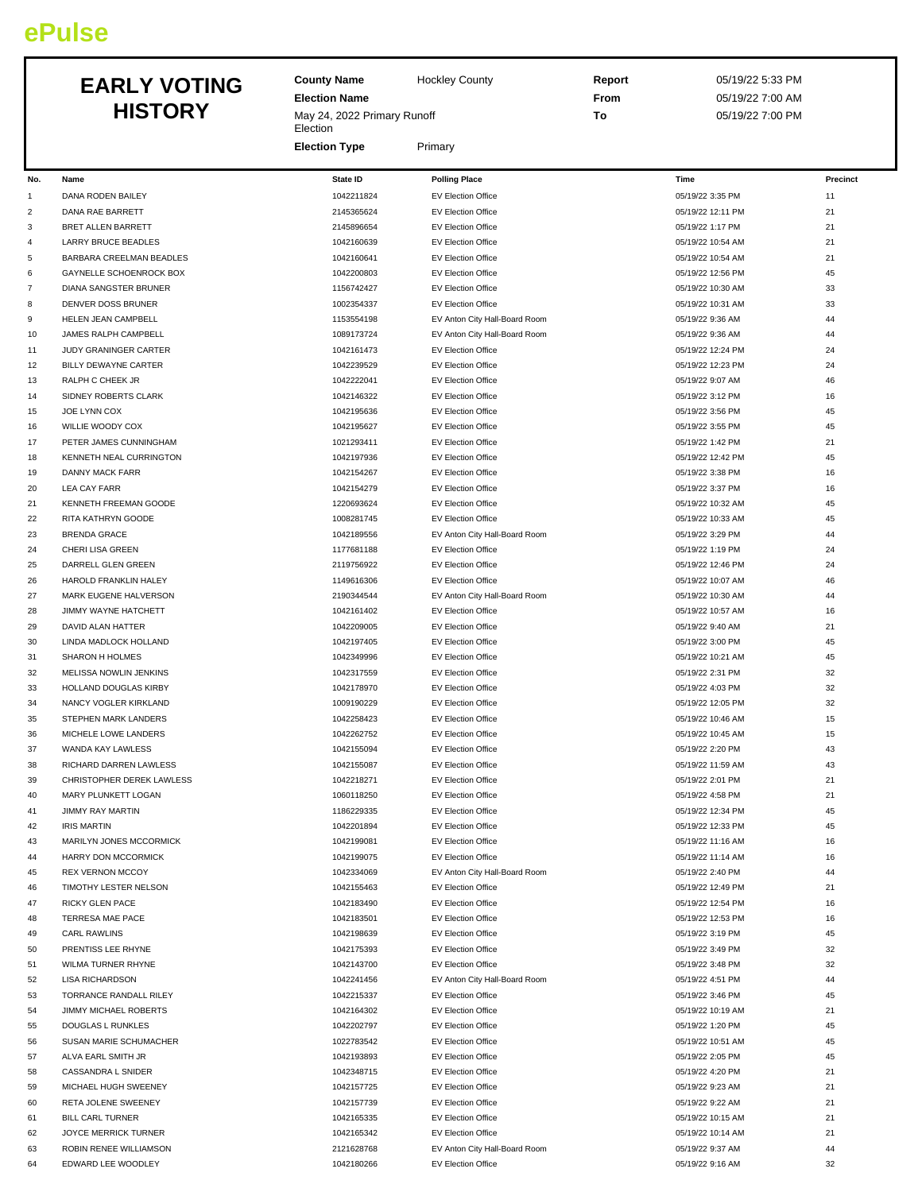## **ePulse**

# **HISTORY**

|          | <b>EARLY VOTING</b><br><b>HISTORY</b>                | <b>County Name</b><br><b>Hockley County</b><br><b>Election Name</b><br>May 24, 2022 Primary Runoff |                                                        | Report<br>From<br>To | 05/19/22 5:33 PM<br>05/19/22 7:00 AM<br>05/19/22 7:00 PM |          |
|----------|------------------------------------------------------|----------------------------------------------------------------------------------------------------|--------------------------------------------------------|----------------------|----------------------------------------------------------|----------|
|          |                                                      | Election<br><b>Election Type</b>                                                                   | Primary                                                |                      |                                                          |          |
| No.      | Name                                                 | <b>State ID</b>                                                                                    | <b>Polling Place</b>                                   |                      | Time                                                     | Precinct |
| 1        | DANA RODEN BAILEY                                    | 1042211824                                                                                         | <b>EV Election Office</b>                              |                      | 05/19/22 3:35 PM                                         | 11       |
| 2        | DANA RAE BARRETT                                     | 2145365624                                                                                         | <b>EV Election Office</b>                              |                      | 05/19/22 12:11 PM                                        | 21       |
| 3        | BRET ALLEN BARRETT                                   | 2145896654                                                                                         | EV Election Office                                     |                      | 05/19/22 1:17 PM                                         | 21       |
| 4        | LARRY BRUCE BEADLES                                  | 1042160639                                                                                         | <b>EV Election Office</b>                              |                      | 05/19/22 10:54 AM                                        | 21       |
| 5        | BARBARA CREELMAN BEADLES                             | 1042160641                                                                                         | <b>EV Election Office</b>                              |                      | 05/19/22 10:54 AM                                        | 21       |
| 6        | GAYNELLE SCHOENROCK BOX                              | 1042200803                                                                                         | <b>EV Election Office</b>                              |                      | 05/19/22 12:56 PM                                        | 45       |
|          | DIANA SANGSTER BRUNER                                | 1156742427                                                                                         | <b>EV Election Office</b>                              |                      | 05/19/22 10:30 AM                                        | 33       |
| 8        | DENVER DOSS BRUNER                                   | 1002354337                                                                                         | EV Election Office                                     |                      | 05/19/22 10:31 AM                                        | 33       |
| 9        | HELEN JEAN CAMPBELL                                  | 1153554198                                                                                         | EV Anton City Hall-Board Room                          |                      | 05/19/22 9:36 AM                                         | 44       |
| 10       | JAMES RALPH CAMPBELL                                 | 1089173724                                                                                         | EV Anton City Hall-Board Room                          |                      | 05/19/22 9:36 AM                                         | 44       |
| 11<br>12 | JUDY GRANINGER CARTER<br><b>BILLY DEWAYNE CARTER</b> | 1042161473<br>1042239529                                                                           | <b>EV Election Office</b><br><b>EV Election Office</b> |                      | 05/19/22 12:24 PM<br>05/19/22 12:23 PM                   | 24<br>24 |
| 13       | RALPH C CHEEK JR                                     | 1042222041                                                                                         | <b>EV Election Office</b>                              |                      | 05/19/22 9:07 AM                                         | 46       |
| 14       | SIDNEY ROBERTS CLARK                                 | 1042146322                                                                                         | <b>EV Election Office</b>                              |                      | 05/19/22 3:12 PM                                         | 16       |
| 15       | JOE LYNN COX                                         | 1042195636                                                                                         | <b>EV Election Office</b>                              |                      | 05/19/22 3:56 PM                                         | 45       |
| 16       | WILLIE WOODY COX                                     | 1042195627                                                                                         | <b>EV Election Office</b>                              |                      | 05/19/22 3:55 PM                                         | 45       |
| 17       | PETER JAMES CUNNINGHAM                               | 1021293411                                                                                         | <b>EV Election Office</b>                              |                      | 05/19/22 1:42 PM                                         | 21       |
| 18       | KENNETH NEAL CURRINGTON                              | 1042197936                                                                                         | <b>EV Election Office</b>                              |                      | 05/19/22 12:42 PM                                        | 45       |
| 19       | DANNY MACK FARR                                      | 1042154267                                                                                         | <b>EV Election Office</b>                              |                      | 05/19/22 3:38 PM                                         | 16       |
| 20       | <b>LEA CAY FARR</b>                                  | 1042154279                                                                                         | <b>EV Election Office</b>                              |                      | 05/19/22 3:37 PM                                         | 16       |
| 21       | KENNETH FREEMAN GOODE                                | 1220693624                                                                                         | <b>EV Election Office</b>                              |                      | 05/19/22 10:32 AM                                        | 45       |
| 22       | RITA KATHRYN GOODE                                   | 1008281745                                                                                         | <b>EV Election Office</b>                              |                      | 05/19/22 10:33 AM                                        | 45       |
| 23       | <b>BRENDA GRACE</b>                                  | 1042189556                                                                                         | EV Anton City Hall-Board Room                          |                      | 05/19/22 3:29 PM                                         | 44       |
| 24       | CHERI LISA GREEN                                     | 1177681188                                                                                         | EV Election Office                                     |                      | 05/19/22 1:19 PM                                         | 24       |
| 25       | DARRELL GLEN GREEN                                   | 2119756922                                                                                         | <b>EV Election Office</b>                              |                      | 05/19/22 12:46 PM                                        | 24       |
| 26       | HAROLD FRANKLIN HALEY                                | 1149616306                                                                                         | <b>EV Election Office</b>                              |                      | 05/19/22 10:07 AM                                        | 46       |
| 27       | MARK EUGENE HALVERSON                                | 2190344544                                                                                         | EV Anton City Hall-Board Room                          |                      | 05/19/22 10:30 AM                                        | 44       |
| 28       | JIMMY WAYNE HATCHETT                                 | 1042161402                                                                                         | EV Election Office                                     |                      | 05/19/22 10:57 AM                                        | 16       |
| 29       | DAVID ALAN HATTER                                    | 1042209005                                                                                         | EV Election Office                                     |                      | 05/19/22 9:40 AM                                         | 21       |
| 30       | LINDA MADLOCK HOLLAND                                | 1042197405                                                                                         | <b>EV Election Office</b>                              |                      | 05/19/22 3:00 PM                                         | 45       |
| 31       | SHARON H HOLMES                                      | 1042349996                                                                                         | <b>EV Election Office</b>                              |                      | 05/19/22 10:21 AM                                        | 45       |
| 32       | MELISSA NOWLIN JENKINS                               | 1042317559                                                                                         | <b>EV Election Office</b>                              |                      | 05/19/22 2:31 PM                                         | 32       |
| 33       | HOLLAND DOUGLAS KIRBY                                | 1042178970                                                                                         | EV Election Office                                     |                      | 05/19/22 4:03 PM                                         | 32       |
| 34       | NANCY VOGLER KIRKLAND                                | 1009190229                                                                                         | EV Election Office                                     |                      | 05/19/22 12:05 PM                                        | 32       |
| 35       | STEPHEN MARK LANDERS                                 | 1042258423                                                                                         | <b>EV Election Office</b>                              |                      | 05/19/22 10:46 AM                                        | 15       |
| 36       | MICHELE LOWE LANDERS                                 | 1042262752                                                                                         | <b>EV Election Office</b>                              |                      | 05/19/22 10:45 AM                                        | 15       |
| 37       | WANDA KAY LAWLESS<br>RICHARD DARREN LAWLESS          | 1042155094                                                                                         | EV Election Office                                     |                      | 05/19/22 2:20 PM                                         | 43<br>43 |
| 38<br>39 | CHRISTOPHER DEREK LAWLESS                            | 1042155087<br>1042218271                                                                           | EV Election Office<br>EV Election Office               |                      | 05/19/22 11:59 AM<br>05/19/22 2:01 PM                    | 21       |
| 40       | MARY PLUNKETT LOGAN                                  | 1060118250                                                                                         | EV Election Office                                     |                      | 05/19/22 4:58 PM                                         | 21       |
| 41       | <b>JIMMY RAY MARTIN</b>                              | 1186229335                                                                                         | EV Election Office                                     |                      | 05/19/22 12:34 PM                                        | 45       |
| 42       | <b>IRIS MARTIN</b>                                   | 1042201894                                                                                         | <b>EV Election Office</b>                              |                      | 05/19/22 12:33 PM                                        | 45       |
| 43       | MARILYN JONES MCCORMICK                              | 1042199081                                                                                         | EV Election Office                                     |                      | 05/19/22 11:16 AM                                        | 16       |
| 44       | HARRY DON MCCORMICK                                  | 1042199075                                                                                         | EV Election Office                                     |                      | 05/19/22 11:14 AM                                        | 16       |
| 45       | <b>REX VERNON MCCOY</b>                              | 1042334069                                                                                         | EV Anton City Hall-Board Room                          |                      | 05/19/22 2:40 PM                                         | 44       |
| 46       | TIMOTHY LESTER NELSON                                | 1042155463                                                                                         | EV Election Office                                     |                      | 05/19/22 12:49 PM                                        | 21       |
| 47       | <b>RICKY GLEN PACE</b>                               | 1042183490                                                                                         | <b>EV Election Office</b>                              |                      | 05/19/22 12:54 PM                                        | 16       |
| 48       | TERRESA MAE PACE                                     | 1042183501                                                                                         | EV Election Office                                     |                      | 05/19/22 12:53 PM                                        | 16       |
| 49       | <b>CARL RAWLINS</b>                                  | 1042198639                                                                                         | EV Election Office                                     |                      | 05/19/22 3:19 PM                                         | 45       |
| 50       | PRENTISS LEE RHYNE                                   | 1042175393                                                                                         | EV Election Office                                     |                      | 05/19/22 3:49 PM                                         | 32       |
| 51       | WILMA TURNER RHYNE                                   | 1042143700                                                                                         | EV Election Office                                     |                      | 05/19/22 3:48 PM                                         | 32       |
| 52       | <b>LISA RICHARDSON</b>                               | 1042241456                                                                                         | EV Anton City Hall-Board Room                          |                      | 05/19/22 4:51 PM                                         | 44       |
| 53       | TORRANCE RANDALL RILEY                               | 1042215337                                                                                         | EV Election Office                                     |                      | 05/19/22 3:46 PM                                         | 45       |
| 54       | <b>JIMMY MICHAEL ROBERTS</b>                         | 1042164302                                                                                         | EV Election Office                                     |                      | 05/19/22 10:19 AM                                        | 21       |
| 55       | DOUGLAS L RUNKLES                                    | 1042202797                                                                                         | EV Election Office                                     |                      | 05/19/22 1:20 PM                                         | 45       |
| 56       | SUSAN MARIE SCHUMACHER                               | 1022783542                                                                                         | EV Election Office                                     |                      | 05/19/22 10:51 AM                                        | 45       |
| 57       | ALVA EARL SMITH JR                                   | 1042193893                                                                                         | EV Election Office                                     |                      | 05/19/22 2:05 PM                                         | 45       |
| 58       | CASSANDRA L SNIDER                                   | 1042348715                                                                                         | EV Election Office                                     |                      | 05/19/22 4:20 PM                                         | 21       |
| 59       | MICHAEL HUGH SWEENEY                                 | 1042157725                                                                                         | <b>EV Election Office</b>                              |                      | 05/19/22 9:23 AM                                         | 21       |
| 60       | RETA JOLENE SWEENEY                                  | 1042157739                                                                                         | EV Election Office                                     |                      | 05/19/22 9:22 AM                                         | 21       |
| 61       | <b>BILL CARL TURNER</b>                              | 1042165335                                                                                         | EV Election Office                                     |                      | 05/19/22 10:15 AM                                        | 21       |
| 62       | JOYCE MERRICK TURNER                                 | 1042165342                                                                                         | EV Election Office                                     |                      | 05/19/22 10:14 AM                                        | 21       |
| 63       | ROBIN RENEE WILLIAMSON                               | 2121628768                                                                                         | EV Anton City Hall-Board Room                          |                      | 05/19/22 9:37 AM                                         | 44       |

EDWARD LEE WOODLEY 1042180266 EV Election Office 05/19/22 9:16 AM 32